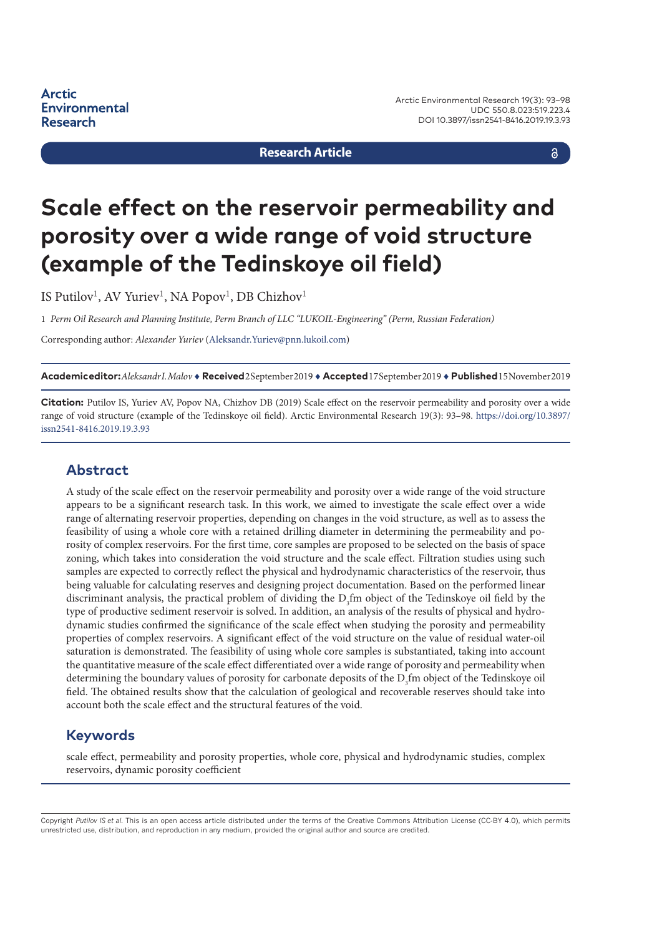**Research Article**

a

# **Scale effect on the reservoir permeability and porosity over a wide range of void structure (example of the Tedinskoye oil field)**

IS Putilov<sup>1</sup>, AV Yuriev<sup>1</sup>, NA Popov<sup>1</sup>, DB Chizhov<sup>1</sup>

1 *Perm Oil Research and Planning Institute, Perm Branch of LLC "LUKOIL-Engineering" (Perm, Russian Federation)*

Corresponding author: *Alexander Yuriev* [\(Aleksandr.Yuriev@pnn.lukoil.com](mailto:Aleksandr.Yuriev@pnn.lukoil.com))

**Academic editor:***Aleksandr I. Malov* ♦ **Received** 2 September 2019 ♦ **Accepted** 17 September 2019 ♦ **Published** 15 November 2019

**Citation:** Putilov IS, Yuriev AV, Popov NA, Chizhov DB (2019) Scale effect on the reservoir permeability and porosity over a wide range of void structure (example of the Tedinskoye oil field). Arctic Environmental Research 19(3): 93–98. [https://doi.org/10.3897/](https://doi.org/10.3897/issn2541-8416.2019.19.3.93) [issn2541-8416.2019.19.3.93](https://doi.org/10.3897/issn2541-8416.2019.19.3.93)

#### **Abstract**

A study of the scale effect on the reservoir permeability and porosity over a wide range of the void structure appears to be a significant research task. In this work, we aimed to investigate the scale effect over a wide range of alternating reservoir properties, depending on changes in the void structure, as well as to assess the feasibility of using a whole core with a retained drilling diameter in determining the permeability and porosity of complex reservoirs. For the first time, core samples are proposed to be selected on the basis of space zoning, which takes into consideration the void structure and the scale effect. Filtration studies using such samples are expected to correctly reflect the physical and hydrodynamic characteristics of the reservoir, thus being valuable for calculating reserves and designing project documentation. Based on the performed linear discriminant analysis, the practical problem of dividing the  $D_3$ fm object of the Tedinskoye oil field by the type of productive sediment reservoir is solved. In addition, an analysis of the results of physical and hydrodynamic studies confirmed the significance of the scale effect when studying the porosity and permeability properties of complex reservoirs. A significant effect of the void structure on the value of residual water-oil saturation is demonstrated. The feasibility of using whole core samples is substantiated, taking into account the quantitative measure of the scale effect differentiated over a wide range of porosity and permeability when determining the boundary values of porosity for carbonate deposits of the  $\rm D_3$ fm object of the Tedinskoye oil field. The obtained results show that the calculation of geological and recoverable reserves should take into account both the scale effect and the structural features of the void.

#### **Keywords**

scale effect, permeability and porosity properties, whole core, physical and hydrodynamic studies, complex reservoirs, dynamic porosity coefficient

Copyright *Putilov IS et al.* This is an open access article distributed under the terms of the Creative Commons Attribution License (CC-BY 4.0), which permits unrestricted use, distribution, and reproduction in any medium, provided the original author and source are credited.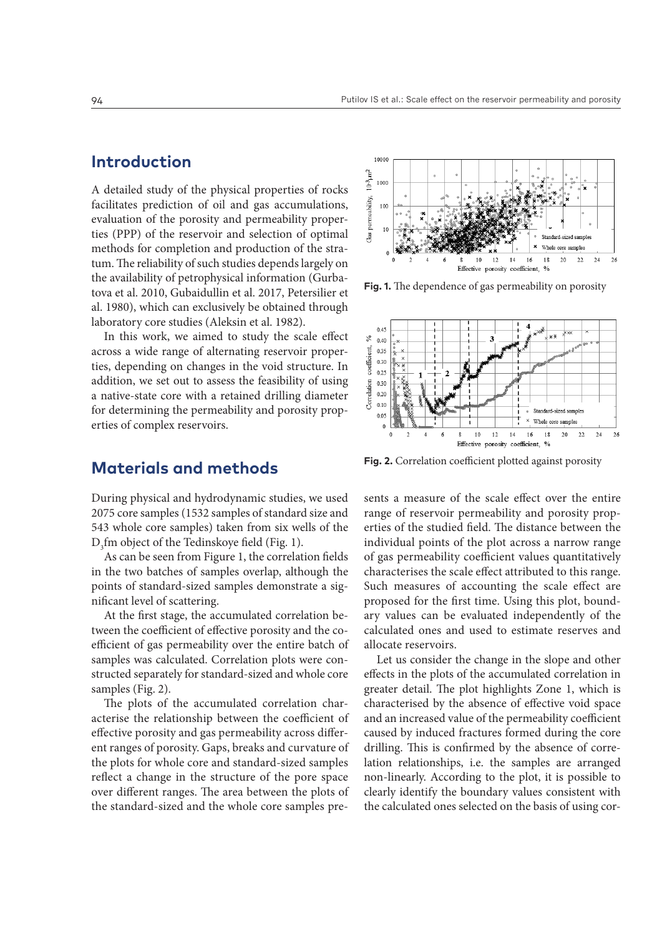### **Introduction**

A detailed study of the physical properties of rocks facilitates prediction of oil and gas accumulations, evaluation of the porosity and permeability properties (PPP) of the reservoir and selection of optimal methods for completion and production of the stratum. The reliability of such studies depends largely on the availability of petrophysical information (Gurbatova et al. 2010, Gubaidullin et al. 2017, Petersilier et al. 1980), which can exclusively be obtained through laboratory core studies (Aleksin et al. 1982).

In this work, we aimed to study the scale effect across a wide range of alternating reservoir properties, depending on changes in the void structure. In addition, we set out to assess the feasibility of using a native-state core with a retained drilling diameter for determining the permeability and porosity properties of complex reservoirs.

#### 10000  $10^{-3} \mu \mathrm{m}^2$ 1000 permeability, 100  $10$ Gas Whole core samples  $14$ 16 18  $20$ 24 10 12 22 26 Effective porosity coefficient,

**Fig. 1.** The dependence of gas permeability on porosity



**Fig. 2.** Correlation coefficient plotted against porosity

### **Materials and methods**

During physical and hydrodynamic studies, we used 2075 core samples (1532 samples of standard size and 543 whole core samples) taken from six wells of the  $D_3$ fm object of the Tedinskoye field (Fig. 1).

As can be seen from Figure 1, the correlation fields in the two batches of samples overlap, although the points of standard-sized samples demonstrate a significant level of scattering.

At the first stage, the accumulated correlation between the coefficient of effective porosity and the coefficient of gas permeability over the entire batch of samples was calculated. Correlation plots were constructed separately for standard-sized and whole core samples (Fig. 2).

The plots of the accumulated correlation characterise the relationship between the coefficient of effective porosity and gas permeability across different ranges of porosity. Gaps, breaks and curvature of the plots for whole core and standard-sized samples reflect a change in the structure of the pore space over different ranges. The area between the plots of the standard-sized and the whole core samples presents a measure of the scale effect over the entire range of reservoir permeability and porosity properties of the studied field. The distance between the individual points of the plot across a narrow range of gas permeability coefficient values quantitatively characterises the scale effect attributed to this range. Such measures of accounting the scale effect are proposed for the first time. Using this plot, boundary values can be evaluated independently of the calculated ones and used to estimate reserves and allocate reservoirs.

Let us consider the change in the slope and other effects in the plots of the accumulated correlation in greater detail. The plot highlights Zone 1, which is characterised by the absence of effective void space and an increased value of the permeability coefficient caused by induced fractures formed during the core drilling. This is confirmed by the absence of correlation relationships, i.e. the samples are arranged non-linearly. According to the plot, it is possible to clearly identify the boundary values consistent with the calculated ones selected on the basis of using cor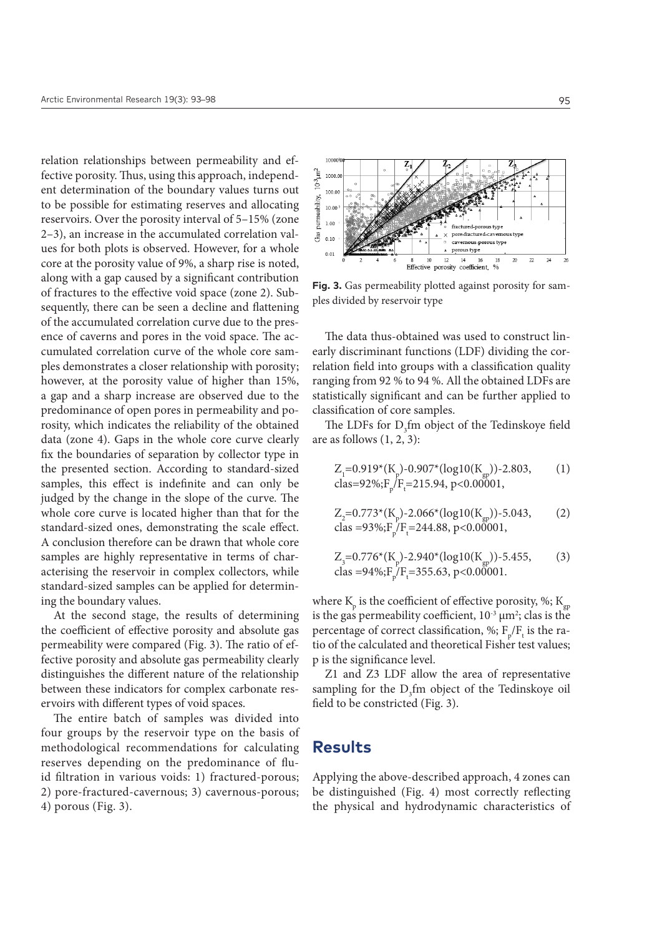relation relationships between permeability and effective porosity. Thus, using this approach, independent determination of the boundary values turns out to be possible for estimating reserves and allocating reservoirs. Over the porosity interval of 5–15% (zone 2–3), an increase in the accumulated correlation values for both plots is observed. However, for a whole core at the porosity value of 9%, a sharp rise is noted, along with a gap caused by a significant contribution of fractures to the effective void space (zone 2). Subsequently, there can be seen a decline and flattening of the accumulated correlation curve due to the presence of caverns and pores in the void space. The accumulated correlation curve of the whole core samples demonstrates a closer relationship with porosity; however, at the porosity value of higher than 15%, a gap and a sharp increase are observed due to the predominance of open pores in permeability and porosity, which indicates the reliability of the obtained data (zone 4). Gaps in the whole core curve clearly fix the boundaries of separation by collector type in the presented section. According to standard-sized samples, this effect is indefinite and can only be judged by the change in the slope of the curve. The whole core curve is located higher than that for the standard-sized ones, demonstrating the scale effect. A conclusion therefore can be drawn that whole core samples are highly representative in terms of characterising the reservoir in complex collectors, while standard-sized samples can be applied for determining the boundary values.

At the second stage, the results of determining the coefficient of effective porosity and absolute gas permeability were compared (Fig. 3). The ratio of effective porosity and absolute gas permeability clearly distinguishes the different nature of the relationship between these indicators for complex carbonate reservoirs with different types of void spaces.

The entire batch of samples was divided into four groups by the reservoir type on the basis of methodological recommendations for calculating reserves depending on the predominance of fluid filtration in various voids: 1) fractured-porous; 2) pore-fractured-cavernous; 3) cavernous-porous; 4) porous (Fig. 3).



**Fig. 3.** Gas permeability plotted against porosity for samples divided by reservoir type

The data thus-obtained was used to construct linearly discriminant functions (LDF) dividing the correlation field into groups with a classification quality ranging from 92 % to 94 %. All the obtained LDFs are statistically significant and can be further applied to classification of core samples.

The LDFs for  $D_3$ fm object of the Tedinskoye field are as follows  $(1, 2, 3)$ :

$$
Z_{1} = 0.919*(K_{p}) - 0.907*(log10(K_{gp})) - 2.803,
$$
\n
$$
class = 92\%; F_{p}/F_{t} = 215.94, p < 0.00001,
$$
\n
$$
(1)
$$

$$
Z_2 = 0.773 \times (K_p) - 2.066 \times (\log 10(K_{gp})) - 5.043,
$$
  
clas = 93%; F<sub>p</sub>/F<sub>f</sub> = 244.88, p < 0.00001, (2)

$$
Z_{3} = 0.776*(K_{p})-2.940*(log10(K_{gp}))-5.455,
$$
 (3)  
clas = 94%;F<sub>p</sub>/F<sub>f</sub>=355.63, p<0.00001.

where  $K_{\text{p}}$  is the coefficient of effective porosity, %;  $K_{\text{gp}}$ is the gas permeability coefficient,  $10^{-3} \mu m^2$ ; clas is the percentage of correct classification, %;  $F_{p}/F_{t}$  is the ratio of the calculated and theoretical Fisher test values; p is the significance level.

Z1 and Z3 LDF allow the area of representative sampling for the  $D_3$ fm object of the Tedinskoye oil field to be constricted (Fig. 3).

#### **Results**

Applying the above-described approach, 4 zones can be distinguished (Fig. 4) most correctly reflecting the physical and hydrodynamic characteristics of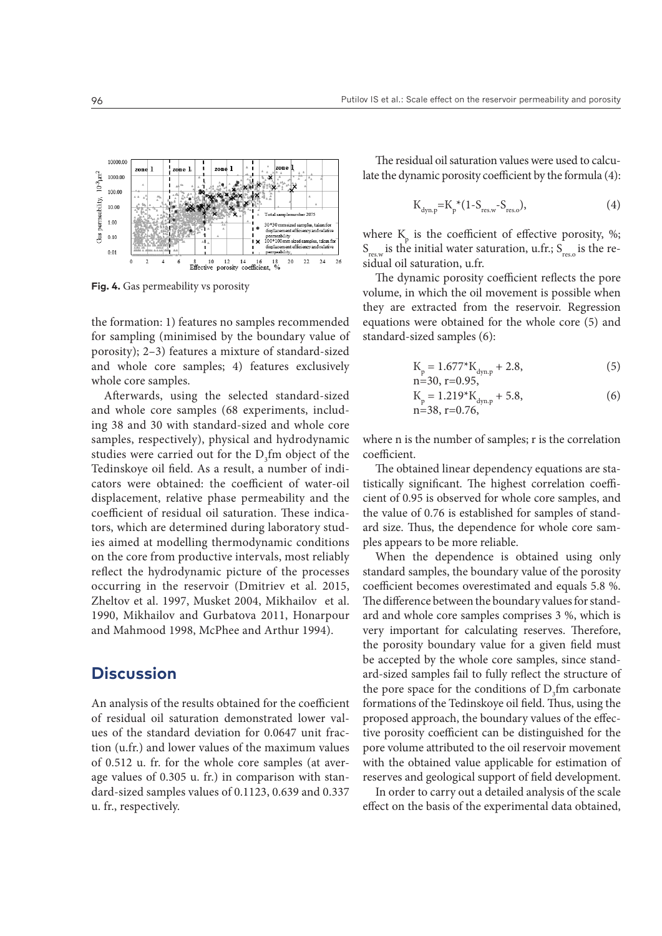

**Fig. 4.** Gas permeability vs porosity

the formation: 1) features no samples recommended for sampling (minimised by the boundary value of porosity); 2–3) features a mixture of standard-sized and whole core samples; 4) features exclusively whole core samples.

Afterwards, using the selected standard-sized and whole core samples (68 experiments, including 38 and 30 with standard-sized and whole core samples, respectively), physical and hydrodynamic studies were carried out for the  $D_3$ fm object of the Tedinskoye oil field. As a result, a number of indicators were obtained: the coefficient of water-oil displacement, relative phase permeability and the coefficient of residual oil saturation. These indicators, which are determined during laboratory studies aimed at modelling thermodynamic conditions on the core from productive intervals, most reliably reflect the hydrodynamic picture of the processes occurring in the reservoir (Dmitriev et al. 2015, Zheltov et al. 1997, Musket 2004, Mikhailov et al. 1990, Mikhailov and Gurbatova 2011, Honarpour and Mahmood 1998, McPhee and Arthur 1994).

#### **Discussion**

An analysis of the results obtained for the coefficient of residual oil saturation demonstrated lower values of the standard deviation for 0.0647 unit fraction (u.fr.) and lower values of the maximum values of 0.512 u. fr. for the whole core samples (at average values of 0.305 u. fr.) in comparison with standard-sized samples values of 0.1123, 0.639 and 0.337 u. fr., respectively.

The residual oil saturation values were used to calculate the dynamic porosity coefficient by the formula (4):

$$
K_{\text{dyn,p}} = K_p^*(1 - S_{\text{res,w}} - S_{\text{res,o}}),\tag{4}
$$

where  $K_{p}$  is the coefficient of effective porosity, %;  $S_{\text{resw}}$  is the initial water saturation, u.fr.;  $S_{\text{reso}}$  is the residual oil saturation, u.fr.

The dynamic porosity coefficient reflects the pore volume, in which the oil movement is possible when they are extracted from the reservoir. Regression equations were obtained for the whole core (5) and standard-sized samples (6):

$$
K_p = 1.677 \times K_{\text{dyn.p}} + 2.8,
$$
  
n=30 r=0.95 (5)

$$
K_p = 1.219 * K_{dyn,p} + 5.8,
$$
  
n=38, r=0.76, (6)

where n is the number of samples; r is the correlation coefficient.

The obtained linear dependency equations are statistically significant. The highest correlation coefficient of 0.95 is observed for whole core samples, and the value of 0.76 is established for samples of standard size. Thus, the dependence for whole core samples appears to be more reliable.

When the dependence is obtained using only standard samples, the boundary value of the porosity coefficient becomes overestimated and equals 5.8 %. The difference between the boundary values for standard and whole core samples comprises 3 %, which is very important for calculating reserves. Therefore, the porosity boundary value for a given field must be accepted by the whole core samples, since standard-sized samples fail to fully reflect the structure of the pore space for the conditions of  $D_3$ fm carbonate formations of the Tedinskoye oil field. Thus, using the proposed approach, the boundary values of the effective porosity coefficient can be distinguished for the pore volume attributed to the oil reservoir movement with the obtained value applicable for estimation of reserves and geological support of field development.

In order to carry out a detailed analysis of the scale effect on the basis of the experimental data obtained,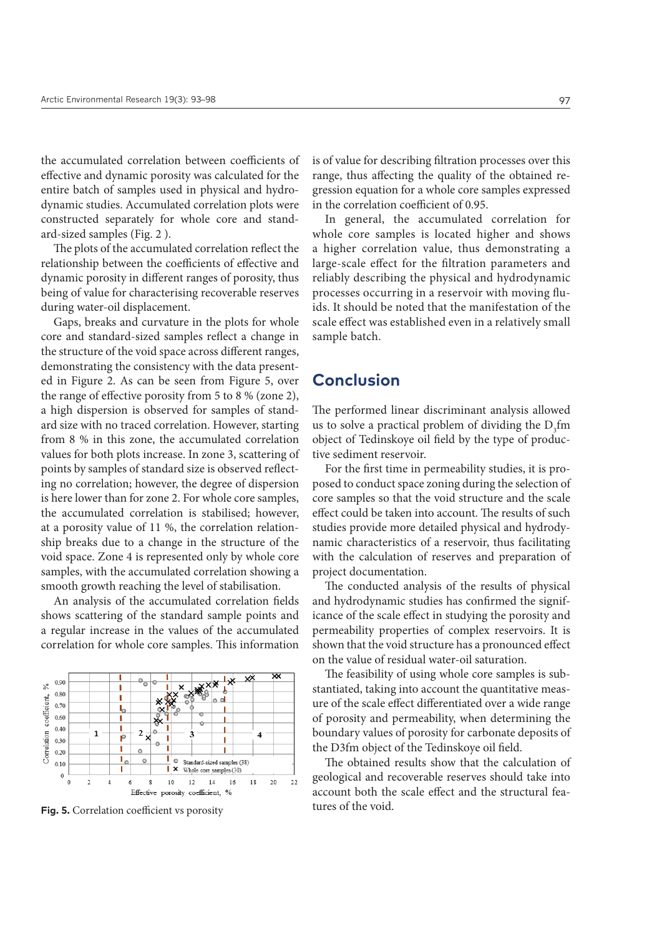the accumulated correlation between coefficients of effective and dynamic porosity was calculated for the entire batch of samples used in physical and hydrodynamic studies. Accumulated correlation plots were constructed separately for whole core and standard-sized samples (Fig. 2 ).

The plots of the accumulated correlation reflect the relationship between the coefficients of effective and dynamic porosity in different ranges of porosity, thus being of value for characterising recoverable reserves during water-oil displacement.

Gaps, breaks and curvature in the plots for whole core and standard-sized samples reflect a change in the structure of the void space across different ranges, demonstrating the consistency with the data presented in Figure 2. As can be seen from Figure 5, over the range of effective porosity from 5 to 8 % (zone 2), a high dispersion is observed for samples of standard size with no traced correlation. However, starting from 8 % in this zone, the accumulated correlation values for both plots increase. In zone 3, scattering of points by samples of standard size is observed reflecting no correlation; however, the degree of dispersion is here lower than for zone 2. For whole core samples, the accumulated correlation is stabilised; however, at a porosity value of 11 %, the correlation relationship breaks due to a change in the structure of the void space. Zone 4 is represented only by whole core samples, with the accumulated correlation showing a smooth growth reaching the level of stabilisation.

An analysis of the accumulated correlation fields shows scattering of the standard sample points and a regular increase in the values of the accumulated correlation for whole core samples. This information



**Fig. 5.** Correlation coefficient vs porosity tures of the void.

is of value for describing filtration processes over this range, thus affecting the quality of the obtained regression equation for a whole core samples expressed in the correlation coefficient of 0.95.

In general, the accumulated correlation for whole core samples is located higher and shows a higher correlation value, thus demonstrating a large-scale effect for the filtration parameters and reliably describing the physical and hydrodynamic processes occurring in a reservoir with moving fluids. It should be noted that the manifestation of the scale effect was established even in a relatively small sample batch.

# **Conclusion**

The performed linear discriminant analysis allowed us to solve a practical problem of dividing the  $D_3$ fm object of Tedinskoye oil field by the type of productive sediment reservoir.

For the first time in permeability studies, it is proposed to conduct space zoning during the selection of core samples so that the void structure and the scale effect could be taken into account. The results of such studies provide more detailed physical and hydrodynamic characteristics of a reservoir, thus facilitating with the calculation of reserves and preparation of project documentation.

The conducted analysis of the results of physical and hydrodynamic studies has confirmed the significance of the scale effect in studying the porosity and permeability properties of complex reservoirs. It is shown that the void structure has a pronounced effect on the value of residual water-oil saturation.

The feasibility of using whole core samples is substantiated, taking into account the quantitative measure of the scale effect differentiated over a wide range of porosity and permeability, when determining the boundary values of porosity for carbonate deposits of the D3fm object of the Tedinskoye oil field.

The obtained results show that the calculation of geological and recoverable reserves should take into account both the scale effect and the structural fea-